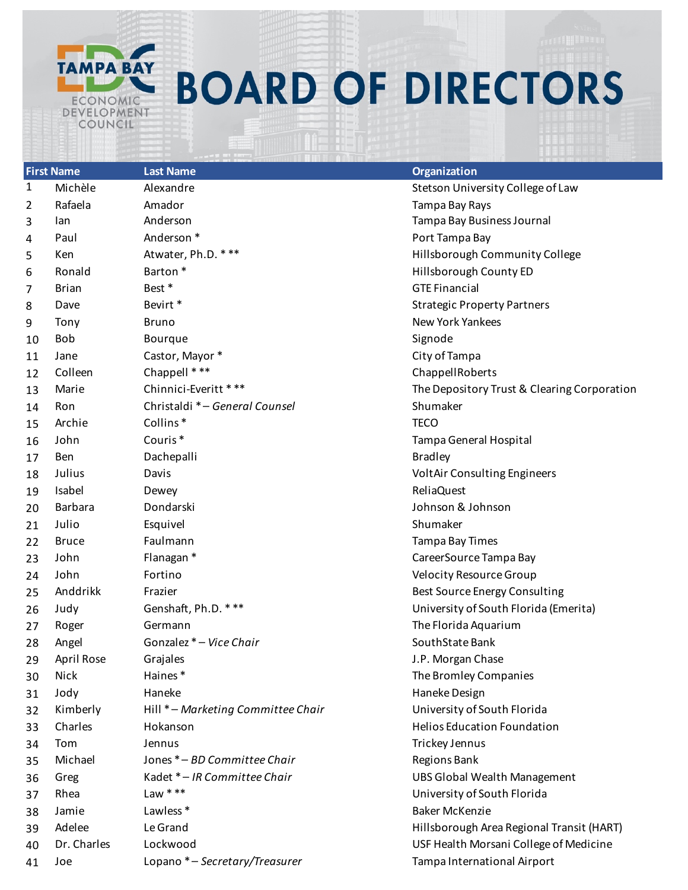

## **BOARD OF DIRECTORS**

|              | <b>First Name</b> | Last Name                          | Organization                                |
|--------------|-------------------|------------------------------------|---------------------------------------------|
| $\mathbf{1}$ | Michèle           | Alexandre                          | Stetson University College of Law           |
| 2            | Rafaela           | Amador                             | Tampa Bay Rays                              |
| 3            | lan               | Anderson                           | Tampa Bay Business Journal                  |
| 4            | Paul              | Anderson <sup>*</sup>              | Port Tampa Bay                              |
| 5            | Ken               | Atwater, Ph.D. ***                 | Hillsborough Community College              |
| 6            | Ronald            | Barton <sup>*</sup>                | Hillsborough County ED                      |
| 7            | <b>Brian</b>      | Best *                             | <b>GTE Financial</b>                        |
| 8            | Dave              | Bevirt*                            | <b>Strategic Property Partners</b>          |
| 9            | Tony              | <b>Bruno</b>                       | <b>New York Yankees</b>                     |
| 10           | <b>Bob</b>        | Bourque                            | Signode                                     |
| 11           | Jane              | Castor, Mayor *                    | City of Tampa                               |
| 12           | Colleen           | Chappell ***                       | ChappellRoberts                             |
| 13           | Marie             | Chinnici-Everitt ***               | The Depository Trust & Clearing Corporation |
| 14           | Ron               | Christaldi * - General Counsel     | Shumaker                                    |
| 15           | Archie            | Collins <sup>*</sup>               | <b>TECO</b>                                 |
| 16           | John              | Couris <sup>*</sup>                | Tampa General Hospital                      |
| 17           | Ben               | Dachepalli                         | <b>Bradley</b>                              |
| 18           | Julius            | Davis                              | VoltAir Consulting Engineers                |
| 19           | Isabel            | Dewey                              | ReliaQuest                                  |
| 20           | Barbara           | Dondarski                          | Johnson & Johnson                           |
| 21           | Julio             | Esquivel                           | Shumaker                                    |
| 22           | <b>Bruce</b>      | Faulmann                           | Tampa Bay Times                             |
| 23           | John              | Flanagan *                         | CareerSource Tampa Bay                      |
| 24           | John              | Fortino                            | <b>Velocity Resource Group</b>              |
| 25           | Anddrikk          | Frazier                            | Best Source Energy Consulting               |
| 26           | Judy              | Genshaft, Ph.D. ***                | University of South Florida (Emerita)       |
| 27           | Roger             | Germann                            | The Florida Aquarium                        |
| 28           | Angel             | Gonzalez * - Vice Chair            | SouthState Bank                             |
| 29           | April Rose        | Grajales                           | J.P. Morgan Chase                           |
| 30           | Nick              | Haines*                            | The Bromley Companies                       |
| 31           | Jody              | Haneke                             | Haneke Design                               |
| 32           | Kimberly          | Hill * - Marketing Committee Chair | University of South Florida                 |
| 33           | Charles           | Hokanson                           | <b>Helios Education Foundation</b>          |
| 34           | Tom               | Jennus                             | Trickey Jennus                              |
| 35           | Michael           | Jones * - BD Committee Chair       | Regions Bank                                |
| 36           | Greg              | Kadet * - IR Committee Chair       | <b>UBS Global Wealth Management</b>         |
| 37           | Rhea              | Law $***$                          | University of South Florida                 |
| 38           | Jamie             | Lawless <sup>*</sup>               | <b>Baker McKenzie</b>                       |
| 39           | Adelee            | Le Grand                           | Hillsborough Area Regional Transit (HART)   |
| 40           | Dr. Charles       | Lockwood                           | USF Health Morsani College of Medicine      |
| 41           | Joe               | Lopano * - Secretary/Treasurer     | Tampa International Airport                 |